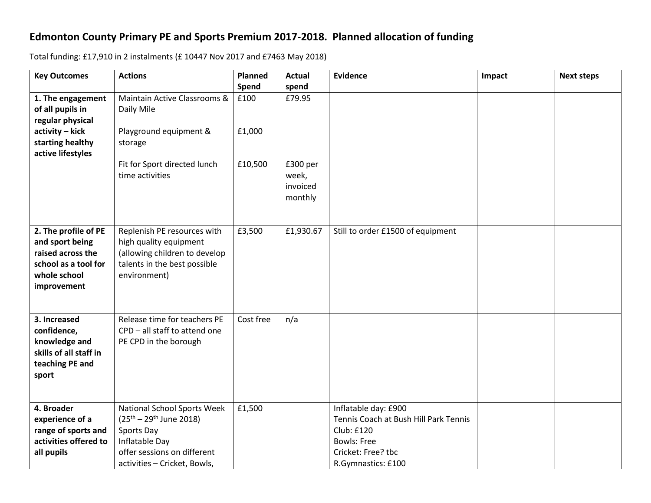## **Edmonton County Primary PE and Sports Premium 2017-2018. Planned allocation of funding**

Total funding: £17,910 in 2 instalments (£ 10447 Nov 2017 and £7463 May 2018)

| <b>Key Outcomes</b>    | <b>Actions</b>                   | Planned   | Actual    | <b>Evidence</b>                       | Impact | <b>Next steps</b> |
|------------------------|----------------------------------|-----------|-----------|---------------------------------------|--------|-------------------|
|                        |                                  | Spend     | spend     |                                       |        |                   |
| 1. The engagement      | Maintain Active Classrooms &     | £100      | £79.95    |                                       |        |                   |
| of all pupils in       | Daily Mile                       |           |           |                                       |        |                   |
| regular physical       |                                  |           |           |                                       |        |                   |
| activity - kick        | Playground equipment &           | £1,000    |           |                                       |        |                   |
| starting healthy       | storage                          |           |           |                                       |        |                   |
| active lifestyles      |                                  |           |           |                                       |        |                   |
|                        | Fit for Sport directed lunch     | £10,500   | £300 per  |                                       |        |                   |
|                        | time activities                  |           | week,     |                                       |        |                   |
|                        |                                  |           | invoiced  |                                       |        |                   |
|                        |                                  |           | monthly   |                                       |        |                   |
|                        |                                  |           |           |                                       |        |                   |
| 2. The profile of PE   | Replenish PE resources with      | £3,500    | £1,930.67 | Still to order £1500 of equipment     |        |                   |
| and sport being        | high quality equipment           |           |           |                                       |        |                   |
| raised across the      | (allowing children to develop    |           |           |                                       |        |                   |
| school as a tool for   | talents in the best possible     |           |           |                                       |        |                   |
| whole school           | environment)                     |           |           |                                       |        |                   |
| improvement            |                                  |           |           |                                       |        |                   |
|                        |                                  |           |           |                                       |        |                   |
|                        |                                  |           |           |                                       |        |                   |
| 3. Increased           | Release time for teachers PE     | Cost free | n/a       |                                       |        |                   |
| confidence,            | CPD - all staff to attend one    |           |           |                                       |        |                   |
| knowledge and          | PE CPD in the borough            |           |           |                                       |        |                   |
| skills of all staff in |                                  |           |           |                                       |        |                   |
| teaching PE and        |                                  |           |           |                                       |        |                   |
| sport                  |                                  |           |           |                                       |        |                   |
|                        |                                  |           |           |                                       |        |                   |
|                        |                                  |           |           |                                       |        |                   |
| 4. Broader             | National School Sports Week      | £1,500    |           | Inflatable day: £900                  |        |                   |
| experience of a        | $(25^{th} - 29^{th})$ June 2018) |           |           | Tennis Coach at Bush Hill Park Tennis |        |                   |
| range of sports and    | Sports Day                       |           |           | <b>Club: £120</b>                     |        |                   |
| activities offered to  | Inflatable Day                   |           |           | <b>Bowls: Free</b>                    |        |                   |
| all pupils             | offer sessions on different      |           |           | Cricket: Free? tbc                    |        |                   |
|                        | activities - Cricket, Bowls,     |           |           | R.Gymnastics: £100                    |        |                   |